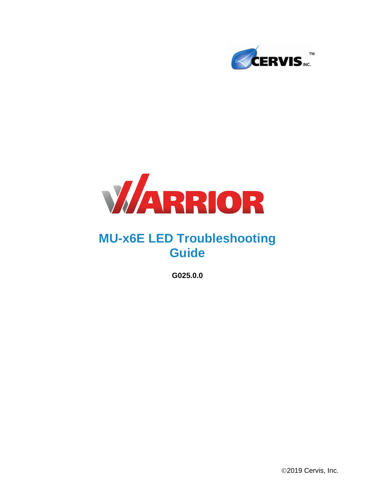



# **MU-x6E LED Troubleshooting Guide**

**G025.0.0**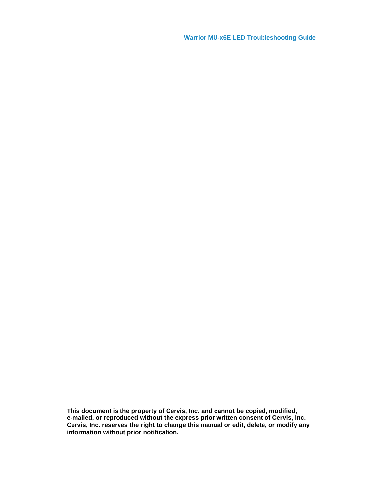**Warrior MU-x6E LED Troubleshooting Guide**

**This document is the property of Cervis, Inc. and cannot be copied, modified, e-mailed, or reproduced without the express prior written consent of Cervis, Inc. Cervis, Inc. reserves the right to change this manual or edit, delete, or modify any information without prior notification.**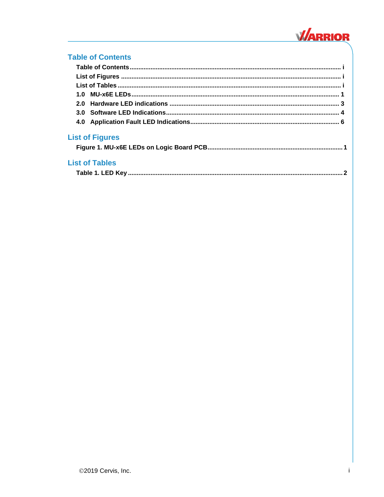

### <span id="page-2-0"></span>**Table of Contents**

<span id="page-2-2"></span><span id="page-2-1"></span>

| 2.0                    |  |
|------------------------|--|
|                        |  |
|                        |  |
| <b>List of Figures</b> |  |
|                        |  |
| <b>List of Tables</b>  |  |
|                        |  |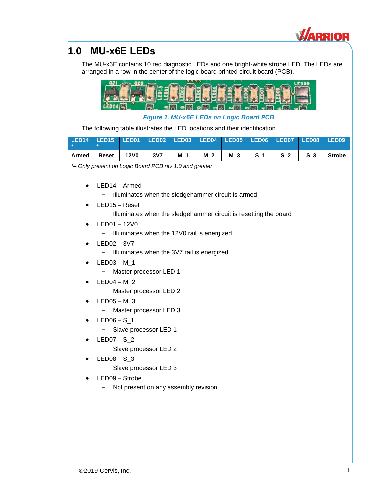

### <span id="page-4-0"></span>**1.0 MU-x6E LEDs**

The MU-x6E contains 10 red diagnostic LEDs and one bright-white strobe LED. The LEDs are arranged in a row in the center of the logic board printed circuit board (PCB).



*Figure 1. MU-x6E LEDs on Logic Board PCB*

<span id="page-4-1"></span>The following table illustrates the LED locations and their identification.

|       | LED14 LED15 LED01 LED02 LED03 LED04 LED05 LED06 LED07 LED08 LED09 |      |     |     |     |  |                        |  |
|-------|-------------------------------------------------------------------|------|-----|-----|-----|--|------------------------|--|
| Armed | Reset                                                             | 12V0 | 3V7 | M 1 | M 2 |  | M 3 S 1 S 2 S 3 Strobe |  |

*\*– Only present on Logic Board PCB rev 1.0 and greater*

- LED14 Armed
	- Illuminates when the sledgehammer circuit is armed
- LED15 Reset
	- Illuminates when the sledgehammer circuit is resetting the board
- LED01 12V0
	- Illuminates when the 12V0 rail is energized
- LED02 3V7
	- Illuminates when the 3V7 rail is energized
- LED03 M\_1
	- Master processor LED 1
- LED04 M\_2
	- Master processor LED 2
- LED05 M\_3
	- Master processor LED 3
- $LED06 S_1$ 
	- Slave processor LED 1
- LED07 S\_2
	- Slave processor LED 2
- $LED08 S_3$ 
	- Slave processor LED 3
- LED09 Strobe
	- Not present on any assembly revision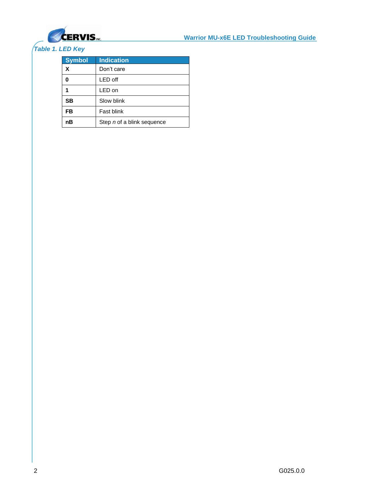

### <span id="page-5-0"></span>*Table 1. LED Key*

| <b>Symbol</b> | <b>Indication</b>          |
|---------------|----------------------------|
| X             | Don't care                 |
| 0             | LED off                    |
| 1             | LED on                     |
| SB            | Slow blink                 |
| FB            | Fast blink                 |
| nB            | Step n of a blink sequence |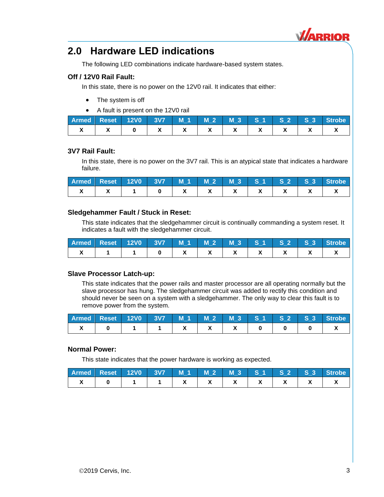

### <span id="page-6-0"></span>**2.0 Hardware LED indications**

The following LED combinations indicate hardware-based system states.

#### **Off / 12V0 Rail Fault:**

In this state, there is no power on the 12V0 rail. It indicates that either:

- The system is off
- A fault is present on the 12V0 rail

|  |  |  |  |  | Armed Reset 12V0 3V7 M 1 M 2 M 3 S 1 S 2 S 3 Strobe |
|--|--|--|--|--|-----------------------------------------------------|
|  |  |  |  |  |                                                     |

#### **3V7 Rail Fault:**

In this state, there is no power on the 3V7 rail. This is an atypical state that indicates a hardware failure.

| Armed Reset 12V0 3V7 M 1 M 2 M 3 S 1 S 2 S 3 Strobe |  |  |  |  |  |
|-----------------------------------------------------|--|--|--|--|--|
|                                                     |  |  |  |  |  |

#### **Sledgehammer Fault / Stuck in Reset:**

This state indicates that the sledgehammer circuit is continually commanding a system reset. It indicates a fault with the sledgehammer circuit.

| <b>Armed Reset 12V0 3V7 M1 M2 M3 S1 S2 S3</b> |  |  |  |  | Strobe |
|-----------------------------------------------|--|--|--|--|--------|
|                                               |  |  |  |  |        |

#### **Slave Processor Latch-up:**

This state indicates that the power rails and master processor are all operating normally but the slave processor has hung. The sledgehammer circuit was added to rectify this condition and should never be seen on a system with a sledgehammer. The only way to clear this fault is to remove power from the system.

| Armed Reset 12V0 3V7 M 1 M 2 M 3 S 1 S 2 S 3 Strobe |  |  |  |  |  |
|-----------------------------------------------------|--|--|--|--|--|
|                                                     |  |  |  |  |  |

#### **Normal Power:**

This state indicates that the power hardware is working as expected.

| Armed Reset 12V0 3V7 M 1 M 2 M 3 S 1 S 2 S 3 Strobe |  |  |  |  |  |
|-----------------------------------------------------|--|--|--|--|--|
|                                                     |  |  |  |  |  |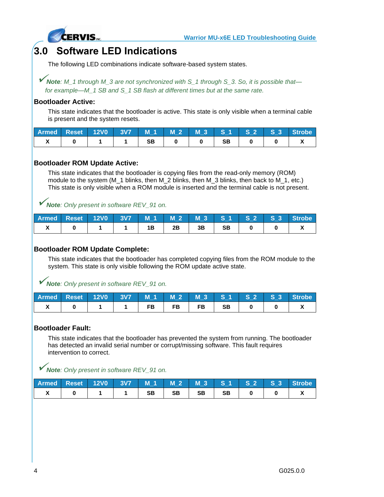

### <span id="page-7-0"></span>**3.0 Software LED Indications**

The following LED combinations indicate software-based system states.

✓*Note: M\_1 through M\_3 are not synchronized with S\_1 through S\_3. So, it is possible that for example—M\_1 SB and S\_1 SB flash at different times but at the same rate.*

#### **Bootloader Active:**

This state indicates that the bootloader is active. This state is only visible when a terminal cable is present and the system resets.

|  |  |  |           |  | Armed Reset 12V0 3V7 M 1 M 2 M 3 S 1 S 2 S 3 Strobe |
|--|--|--|-----------|--|-----------------------------------------------------|
|  |  |  | <b>SB</b> |  |                                                     |

#### **Bootloader ROM Update Active:**

This state indicates that the bootloader is copying files from the read-only memory (ROM) module to the system (M\_1 blinks, then M\_2 blinks, then M\_3 blinks, then back to M\_1, etc.) This state is only visible when a ROM module is inserted and the terminal cable is not present.

✓*Note: Only present in software REV\_91 on.*

|  |  |      |         |  | Armed Reset 12V0 3V7 M 1 M 2 M 3 S 1 S 2 S 3 Strobe |
|--|--|------|---------|--|-----------------------------------------------------|
|  |  | 2B - | 3B   SB |  |                                                     |

#### **Bootloader ROM Update Complete:**

This state indicates that the bootloader has completed copying files from the ROM module to the system. This state is only visible following the ROM update active state.

✓*Note: Only present in software REV\_91 on.*

|  |  |           |                                                |  | Armed Reset 12V0 3V7 M 1 M 2 M 3 S 1 S 2 S 3 Strobe |
|--|--|-----------|------------------------------------------------|--|-----------------------------------------------------|
|  |  | <b>FB</b> | $\overline{AB}$ $\overline{BB}$ $\overline{0}$ |  |                                                     |

#### **Bootloader Fault:**

This state indicates that the bootloader has prevented the system from running. The bootloader has detected an invalid serial number or corrupt/missing software. This fault requires intervention to correct.

✓*Note: Only present in software REV\_91 on.*

|  |  |           |    |       |  | Armed Reset 12V0 3V7 M 1 M 2 M 3 S 1 S 2 S 3 Strobe |
|--|--|-----------|----|-------|--|-----------------------------------------------------|
|  |  | <b>SB</b> | SB | SB SB |  |                                                     |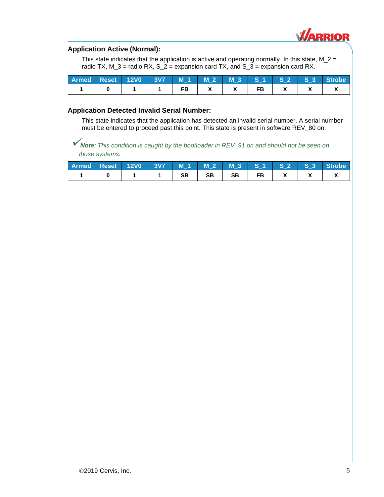

#### **Application Active (Normal):**

This state indicates that the application is active and operating normally. In this state,  $M_2 =$ radio TX,  $M_3$  = radio RX,  $S_2$  = expansion card TX, and  $S_3$  = expansion card RX.

|  |  |  |  |  | Armed Reset 12V0 3V7 M 1 M 2 M 3 S 1 S 2 S 3 Strobe |
|--|--|--|--|--|-----------------------------------------------------|
|  |  |  |  |  |                                                     |

#### **Application Detected Invalid Serial Number:**

This state indicates that the application has detected an invalid serial number. A serial number must be entered to proceed past this point. This state is present in software REV\_80 on.

✓*Note: This condition is caught by the bootloader in REV\_91 on and should not be seen on those systems.*

| Armed Reset 12V0 3V7 M 1 M 2 M 3 S 1 S 2 S 3 Strobe |  |  |           |           |  |  |
|-----------------------------------------------------|--|--|-----------|-----------|--|--|
|                                                     |  |  | <b>SB</b> | <b>SB</b> |  |  |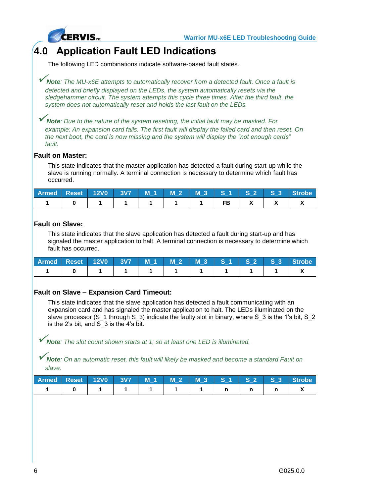

### <span id="page-9-0"></span>**4.0 Application Fault LED Indications**

The following LED combinations indicate software-based fault states.

✓*Note: The MU-x6E attempts to automatically recover from a detected fault. Once a fault is detected and briefly displayed on the LEDs, the system automatically resets via the sledgehammer circuit. The system attempts this cycle three times. After the third fault, the system does not automatically reset and holds the last fault on the LEDs.*

✓*Note: Due to the nature of the system resetting, the initial fault may be masked. For example: An expansion card fails. The first fault will display the failed card and then reset. On the next boot, the card is now missing and the system will display the "not enough cards" fault.*

#### **Fault on Master:**

This state indicates that the master application has detected a fault during start-up while the slave is running normally. A terminal connection is necessary to determine which fault has occurred.

|  |  |  |  |  | Armed Reset 12V0 3V7 M 1 M 2 M 3 S 1 S 2 S 3 Strobe |
|--|--|--|--|--|-----------------------------------------------------|
|  |  |  |  |  |                                                     |

#### **Fault on Slave:**

This state indicates that the slave application has detected a fault during start-up and has signaled the master application to halt. A terminal connection is necessary to determine which fault has occurred.

|  |  |  |  |  | Armed Reset 12V0 3V7 M 1 M 2 M 3 S 1 S 2 S 3 Strobe |
|--|--|--|--|--|-----------------------------------------------------|
|  |  |  |  |  |                                                     |

#### **Fault on Slave – Expansion Card Timeout:**

This state indicates that the slave application has detected a fault communicating with an expansion card and has signaled the master application to halt. The LEDs illuminated on the slave processor (S\_1 through S\_3) indicate the faulty slot in binary, where S\_3 is the 1's bit, S\_2 is the 2's bit, and S\_3 is the 4's bit.

✓*Note: The slot count shown starts at 1; so at least one LED is illuminated.*

✓*Note: On an automatic reset, this fault will likely be masked and become a standard Fault on slave.*

| Armed Reset 12V0 3V7 M 1 M 2 M 3 S 1 S 2 S 3 Strobe |  |  |  |  |  |
|-----------------------------------------------------|--|--|--|--|--|
|                                                     |  |  |  |  |  |